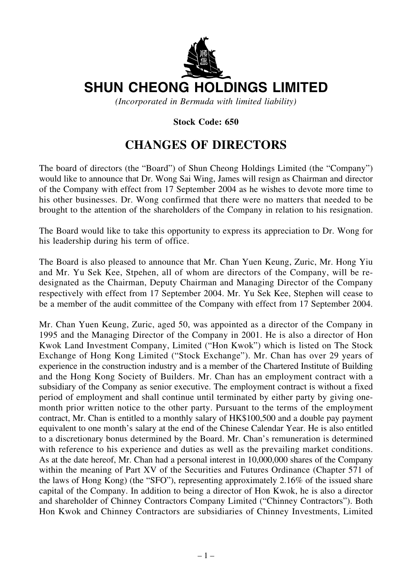

## **SHUN CHEONG HOLDINGS LIMITED**

*(Incorporated in Bermuda with limited liability)*

## **Stock Code: 650**

## **CHANGES OF DIRECTORS**

The board of directors (the "Board") of Shun Cheong Holdings Limited (the "Company") would like to announce that Dr. Wong Sai Wing, James will resign as Chairman and director of the Company with effect from 17 September 2004 as he wishes to devote more time to his other businesses. Dr. Wong confirmed that there were no matters that needed to be brought to the attention of the shareholders of the Company in relation to his resignation.

The Board would like to take this opportunity to express its appreciation to Dr. Wong for his leadership during his term of office.

The Board is also pleased to announce that Mr. Chan Yuen Keung, Zuric, Mr. Hong Yiu and Mr. Yu Sek Kee, Stpehen, all of whom are directors of the Company, will be redesignated as the Chairman, Deputy Chairman and Managing Director of the Company respectively with effect from 17 September 2004. Mr. Yu Sek Kee, Stephen will cease to be a member of the audit committee of the Company with effect from 17 September 2004.

Mr. Chan Yuen Keung, Zuric, aged 50, was appointed as a director of the Company in 1995 and the Managing Director of the Company in 2001. He is also a director of Hon Kwok Land Investment Company, Limited ("Hon Kwok") which is listed on The Stock Exchange of Hong Kong Limited ("Stock Exchange"). Mr. Chan has over 29 years of experience in the construction industry and is a member of the Chartered Institute of Building and the Hong Kong Society of Builders. Mr. Chan has an employment contract with a subsidiary of the Company as senior executive. The employment contract is without a fixed period of employment and shall continue until terminated by either party by giving onemonth prior written notice to the other party. Pursuant to the terms of the employment contract, Mr. Chan is entitled to a monthly salary of HK\$100,500 and a double pay payment equivalent to one month's salary at the end of the Chinese Calendar Year. He is also entitled to a discretionary bonus determined by the Board. Mr. Chan's remuneration is determined with reference to his experience and duties as well as the prevailing market conditions. As at the date hereof, Mr. Chan had a personal interest in 10,000,000 shares of the Company within the meaning of Part XV of the Securities and Futures Ordinance (Chapter 571 of the laws of Hong Kong) (the "SFO"), representing approximately 2.16% of the issued share capital of the Company. In addition to being a director of Hon Kwok, he is also a director and shareholder of Chinney Contractors Company Limited ("Chinney Contractors"). Both Hon Kwok and Chinney Contractors are subsidiaries of Chinney Investments, Limited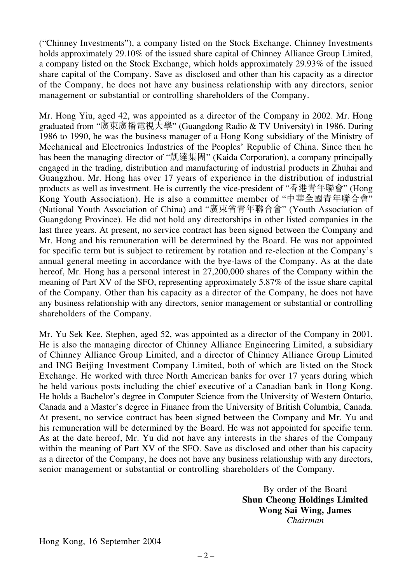("Chinney Investments"), a company listed on the Stock Exchange. Chinney Investments holds approximately 29.10% of the issued share capital of Chinney Alliance Group Limited, a company listed on the Stock Exchange, which holds approximately 29.93% of the issued share capital of the Company. Save as disclosed and other than his capacity as a director of the Company, he does not have any business relationship with any directors, senior management or substantial or controlling shareholders of the Company.

Mr. Hong Yiu, aged 42, was appointed as a director of the Company in 2002. Mr. Hong graduated from "廣東廣播電視大學" (Guangdong Radio & TV University) in 1986. During 1986 to 1990, he was the business manager of a Hong Kong subsidiary of the Ministry of Mechanical and Electronics Industries of the Peoples' Republic of China. Since then he has been the managing director of "凱達集團" (Kaida Corporation), a company principally engaged in the trading, distribution and manufacturing of industrial products in Zhuhai and Guangzhou. Mr. Hong has over 17 years of experience in the distribution of industrial products as well as investment. He is currently the vice-president of "香港青年聯會" (Hong Kong Youth Association). He is also a committee member of "中華全國青年聯合會" (National Youth Association of China) and "廣東省青年聯合會" (Youth Association of Guangdong Province). He did not hold any directorships in other listed companies in the last three years. At present, no service contract has been signed between the Company and Mr. Hong and his remuneration will be determined by the Board. He was not appointed for specific term but is subject to retirement by rotation and re-election at the Company's annual general meeting in accordance with the bye-laws of the Company. As at the date hereof, Mr. Hong has a personal interest in 27,200,000 shares of the Company within the meaning of Part XV of the SFO, representing approximately 5.87% of the issue share capital of the Company. Other than his capacity as a director of the Company, he does not have any business relationship with any directors, senior management or substantial or controlling shareholders of the Company.

Mr. Yu Sek Kee, Stephen, aged 52, was appointed as a director of the Company in 2001. He is also the managing director of Chinney Alliance Engineering Limited, a subsidiary of Chinney Alliance Group Limited, and a director of Chinney Alliance Group Limited and ING Beijing Investment Company Limited, both of which are listed on the Stock Exchange. He worked with three North American banks for over 17 years during which he held various posts including the chief executive of a Canadian bank in Hong Kong. He holds a Bachelor's degree in Computer Science from the University of Western Ontario, Canada and a Master's degree in Finance from the University of British Columbia, Canada. At present, no service contract has been signed between the Company and Mr. Yu and his remuneration will be determined by the Board. He was not appointed for specific term. As at the date hereof, Mr. Yu did not have any interests in the shares of the Company within the meaning of Part XV of the SFO. Save as disclosed and other than his capacity as a director of the Company, he does not have any business relationship with any directors, senior management or substantial or controlling shareholders of the Company.

> By order of the Board **Shun Cheong Holdings Limited Wong Sai Wing, James** *Chairman*

Hong Kong, 16 September 2004